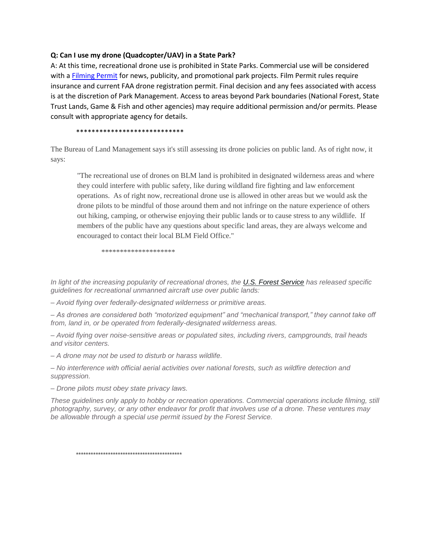## **Q: Can I use my drone (Quadcopter/UAV) in a State Park?**

A: At this time, recreational drone use is prohibited in State Parks. Commercial use will be considered with a [Filming Permit](http://azstateparks.com/press/downloads/ASP_Commercial_Film_Photo.pdf) for news, publicity, and promotional park projects. Film Permit rules require insurance and current FAA drone registration permit. Final decision and any fees associated with access is at the discretion of Park Management. Access to areas beyond Park boundaries (National Forest, State Trust Lands, Game & Fish and other agencies) may require additional permission and/or permits. Please consult with appropriate agency for details.

\*\*\*\*\*\*\*\*\*\*\*\*\*\*\*\*\*\*\*\*\*\*\*\*\*\*\*\*

The Bureau of Land Management says it's still assessing its drone policies on public land. As of right now, it says:

"The recreational use of drones on BLM land is prohibited in designated wilderness areas and where they could interfere with public safety, like during wildland fire fighting and law enforcement operations. As of right now, recreational drone use is allowed in other areas but we would ask the drone pilots to be mindful of those around them and not infringe on the nature experience of others out hiking, camping, or otherwise enjoying their public lands or to cause stress to any wildlife. If members of the public have any questions about specific land areas, they are always welcome and encouraged to contact their local BLM Field Office."

\*\*\*\*\*\*\*\*\*\*\*\*\*\*\*\*\*\*\*\*

*In light of the increasing popularity of recreational drones, the [U.S. Forest Service](http://www.fs.fed.us/) has released specific guidelines for recreational unmanned aircraft use over public lands:*

*– Avoid flying over federally-designated wilderness or primitive areas.*

*– As drones are considered both "motorized equipment" and "mechanical transport," they cannot take off from, land in, or be operated from federally-designated wilderness areas.*

*– Avoid flying over noise-sensitive areas or populated sites, including rivers, campgrounds, trail heads and visitor centers.*

*– A drone may not be used to disturb or harass wildlife.*

*– No interference with official aerial activities over national forests, such as wildfire detection and suppression.*

*– Drone pilots must obey state privacy laws.*

*These guidelines only apply to hobby or recreation operations. Commercial operations include filming, still photography, survey, or any other endeavor for profit that involves use of a drone. These ventures may be allowable through a special use permit issued by the Forest Service.*

\*\*\*\*\*\*\*\*\*\*\*\*\*\*\*\*\*\*\*\*\*\*\*\*\*\*\*\*\*\*\*\*\*\*\*\*\*\*\*\*\*\*\*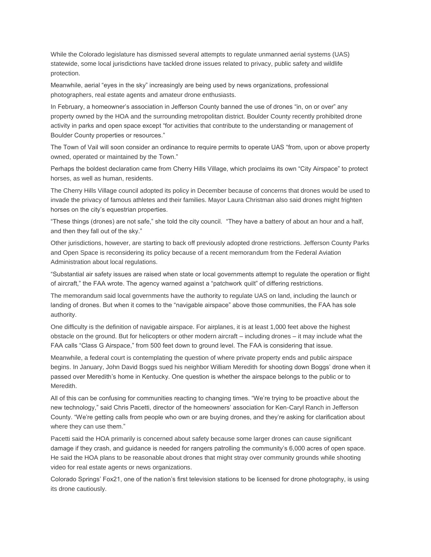While the Colorado legislature has dismissed several attempts to regulate unmanned aerial systems (UAS) statewide, some local jurisdictions have tackled drone issues related to privacy, public safety and wildlife protection.

Meanwhile, aerial "eyes in the sky" increasingly are being used by news organizations, professional photographers, real estate agents and amateur drone enthusiasts.

In February, a homeowner's association in Jefferson County banned the use of drones "in, on or over" any property owned by the HOA and the surrounding metropolitan district. Boulder County recently prohibited drone activity in parks and open space except "for activities that contribute to the understanding or management of Boulder County properties or resources."

The Town of Vail will soon consider an ordinance to require permits to operate UAS "from, upon or above property owned, operated or maintained by the Town."

Perhaps the boldest declaration came from Cherry Hills Village, which proclaims its own "City Airspace" to protect horses, as well as human, residents.

The Cherry Hills Village council adopted its policy in December because of concerns that drones would be used to invade the privacy of famous athletes and their families. Mayor Laura Christman also said drones might frighten horses on the city's equestrian properties.

"These things (drones) are not safe," she told the city council. "They have a battery of about an hour and a half, and then they fall out of the sky."

Other jurisdictions, however, are starting to back off previously adopted drone restrictions. Jefferson County Parks and Open Space is reconsidering its policy because of a recent memorandum from the Federal Aviation Administration about local regulations.

"Substantial air safety issues are raised when state or local governments attempt to regulate the operation or flight of aircraft," the FAA wrote. The agency warned against a "patchwork quilt" of differing restrictions.

The memorandum said local governments have the authority to regulate UAS on land, including the launch or landing of drones. But when it comes to the "navigable airspace" above those communities, the FAA has sole authority.

One difficulty is the definition of navigable airspace. For airplanes, it is at least 1,000 feet above the highest obstacle on the ground. But for helicopters or other modern aircraft – including drones – it may include what the FAA calls "Class G Airspace," from 500 feet down to ground level. The FAA is considering that issue.

Meanwhile, a federal court is contemplating the question of where private property ends and public airspace begins. In January, John David Boggs sued his neighbor William Meredith for shooting down Boggs' drone when it passed over Meredith's home in Kentucky. One question is whether the airspace belongs to the public or to Meredith.

All of this can be confusing for communities reacting to changing times. "We're trying to be proactive about the new technology," said Chris Pacetti, director of the homeowners' association for Ken-Caryl Ranch in Jefferson County. "We're getting calls from people who own or are buying drones, and they're asking for clarification about where they can use them."

Pacetti said the HOA primarily is concerned about safety because some larger drones can cause significant damage if they crash, and guidance is needed for rangers patrolling the community's 6,000 acres of open space. He said the HOA plans to be reasonable about drones that might stray over community grounds while shooting video for real estate agents or news organizations.

Colorado Springs' Fox21, one of the nation's first television stations to be licensed for drone photography, is using its drone cautiously.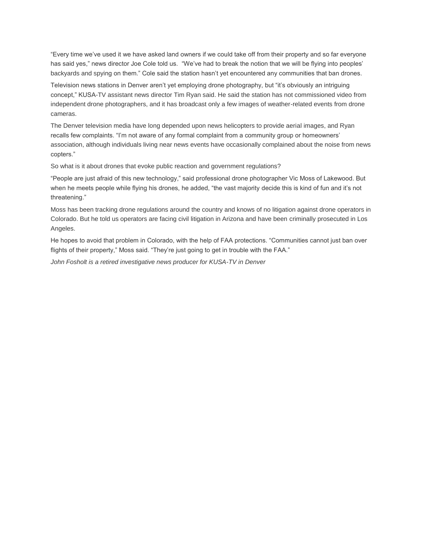"Every time we've used it we have asked land owners if we could take off from their property and so far everyone has said yes," news director Joe Cole told us. "We've had to break the notion that we will be flying into peoples' backyards and spying on them." Cole said the station hasn't yet encountered any communities that ban drones.

Television news stations in Denver aren't yet employing drone photography, but "it's obviously an intriguing concept," KUSA-TV assistant news director Tim Ryan said. He said the station has not commissioned video from independent drone photographers, and it has broadcast only a few images of weather-related events from drone cameras.

The Denver television media have long depended upon news helicopters to provide aerial images, and Ryan recalls few complaints. "I'm not aware of any formal complaint from a community group or homeowners' association, although individuals living near news events have occasionally complained about the noise from news copters."

So what is it about drones that evoke public reaction and government regulations?

"People are just afraid of this new technology," said professional drone photographer Vic Moss of Lakewood. But when he meets people while flying his drones, he added, "the vast majority decide this is kind of fun and it's not threatening."

Moss has been tracking drone regulations around the country and knows of no litigation against drone operators in Colorado. But he told us operators are facing civil litigation in Arizona and have been criminally prosecuted in Los Angeles.

He hopes to avoid that problem in Colorado, with the help of FAA protections. "Communities cannot just ban over flights of their property," Moss said. "They're just going to get in trouble with the FAA."

*John Fosholt is a retired investigative news producer for KUSA-TV in Denver*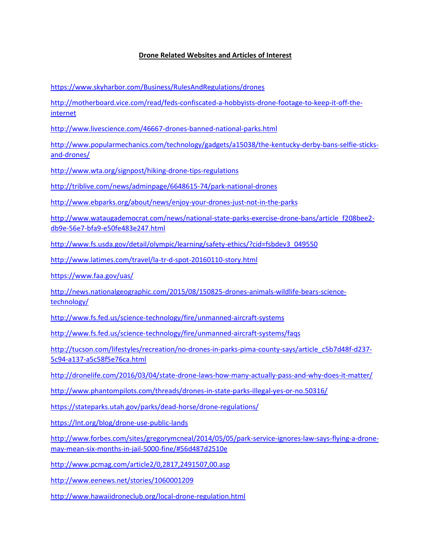## **Drone Related Websites and Articles of Interest**

<https://www.skyharbor.com/Business/RulesAndRegulations/drones>

[http://motherboard.vice.com/read/feds-confiscated-a-hobbyists-drone-footage-to-keep-it-off-the](http://motherboard.vice.com/read/feds-confiscated-a-hobbyists-drone-footage-to-keep-it-off-the-internet)[internet](http://motherboard.vice.com/read/feds-confiscated-a-hobbyists-drone-footage-to-keep-it-off-the-internet)

<http://www.livescience.com/46667-drones-banned-national-parks.html>

[http://www.popularmechanics.com/technology/gadgets/a15038/the-kentucky-derby-bans-selfie-sticks](http://www.popularmechanics.com/technology/gadgets/a15038/the-kentucky-derby-bans-selfie-sticks-and-drones/)[and-drones/](http://www.popularmechanics.com/technology/gadgets/a15038/the-kentucky-derby-bans-selfie-sticks-and-drones/)

<http://www.wta.org/signpost/hiking-drone-tips-regulations>

<http://triblive.com/news/adminpage/6648615-74/park-national-drones>

<http://www.ebparks.org/about/news/enjoy-your-drones-just-not-in-the-parks>

[http://www.wataugademocrat.com/news/national-state-parks-exercise-drone-bans/article\\_f208bee2](http://www.wataugademocrat.com/news/national-state-parks-exercise-drone-bans/article_f208bee2-db9e-56e7-bfa9-e50fe483e247.html) [db9e-56e7-bfa9-e50fe483e247.html](http://www.wataugademocrat.com/news/national-state-parks-exercise-drone-bans/article_f208bee2-db9e-56e7-bfa9-e50fe483e247.html)

[http://www.fs.usda.gov/detail/olympic/learning/safety-ethics/?cid=fsbdev3\\_049550](http://www.fs.usda.gov/detail/olympic/learning/safety-ethics/?cid=fsbdev3_049550)

<http://www.latimes.com/travel/la-tr-d-spot-20160110-story.html>

<https://www.faa.gov/uas/>

[http://news.nationalgeographic.com/2015/08/150825-drones-animals-wildlife-bears-science](http://news.nationalgeographic.com/2015/08/150825-drones-animals-wildlife-bears-science-technology/)[technology/](http://news.nationalgeographic.com/2015/08/150825-drones-animals-wildlife-bears-science-technology/)

<http://www.fs.fed.us/science-technology/fire/unmanned-aircraft-systems>

<http://www.fs.fed.us/science-technology/fire/unmanned-aircraft-systems/faqs>

[http://tucson.com/lifestyles/recreation/no-drones-in-parks-pima-county-says/article\\_c5b7d48f-d237-](http://tucson.com/lifestyles/recreation/no-drones-in-parks-pima-county-says/article_c5b7d48f-d237-5c94-a137-a5c58f5e76ca.html) [5c94-a137-a5c58f5e76ca.html](http://tucson.com/lifestyles/recreation/no-drones-in-parks-pima-county-says/article_c5b7d48f-d237-5c94-a137-a5c58f5e76ca.html)

<http://dronelife.com/2016/03/04/state-drone-laws-how-many-actually-pass-and-why-does-it-matter/>

<http://www.phantompilots.com/threads/drones-in-state-parks-illegal-yes-or-no.50316/>

<https://stateparks.utah.gov/parks/dead-horse/drone-regulations/>

<https://lnt.org/blog/drone-use-public-lands>

[http://www.forbes.com/sites/gregorymcneal/2014/05/05/park-service-ignores-law-says-flying-a-drone](http://www.forbes.com/sites/gregorymcneal/2014/05/05/park-service-ignores-law-says-flying-a-drone-may-mean-six-months-in-jail-5000-fine/#56d487d2510e)[may-mean-six-months-in-jail-5000-fine/#56d487d2510e](http://www.forbes.com/sites/gregorymcneal/2014/05/05/park-service-ignores-law-says-flying-a-drone-may-mean-six-months-in-jail-5000-fine/#56d487d2510e)

<http://www.pcmag.com/article2/0,2817,2491507,00.asp>

<http://www.eenews.net/stories/1060001209>

<http://www.hawaiidroneclub.org/local-drone-regulation.html>